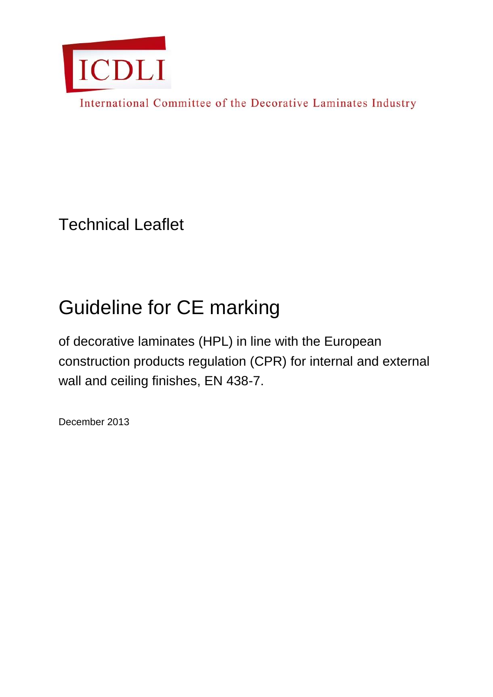

International Committee of the Decorative Laminates Industry

Technical Leaflet

# Guideline for CE marking

of decorative laminates (HPL) in line with the European construction products regulation (CPR) for internal and external wall and ceiling finishes, EN 438-7.

December 2013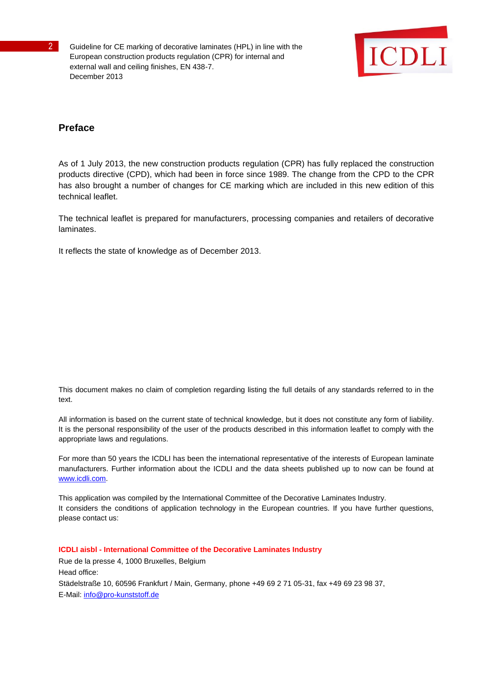

## **Preface**

As of 1 July 2013, the new construction products regulation (CPR) has fully replaced the construction products directive (CPD), which had been in force since 1989. The change from the CPD to the CPR has also brought a number of changes for CE marking which are included in this new edition of this technical leaflet.

The technical leaflet is prepared for manufacturers, processing companies and retailers of decorative laminates.

It reflects the state of knowledge as of December 2013.

This document makes no claim of completion regarding listing the full details of any standards referred to in the text.

All information is based on the current state of technical knowledge, but it does not constitute any form of liability. It is the personal responsibility of the user of the products described in this information leaflet to comply with the appropriate laws and regulations.

For more than 50 years the ICDLI has been the international representative of the interests of European laminate manufacturers. Further information about the ICDLI and the data sheets published up to now can be found at [www.icdli.com.](http://www.icdli.com/)

This application was compiled by the International Committee of the Decorative Laminates Industry. It considers the conditions of application technology in the European countries. If you have further questions, please contact us:

**ICDLI aisbl - International Committee of the Decorative Laminates Industry** Rue de la presse 4, 1000 Bruxelles, Belgium Head office: Städelstraße 10, 60596 Frankfurt / Main, Germany, phone +49 69 2 71 05-31, fax +49 69 23 98 37, E-Mail: [info@pro-kunststoff.de](mailto:info@pro-kunststoff.de)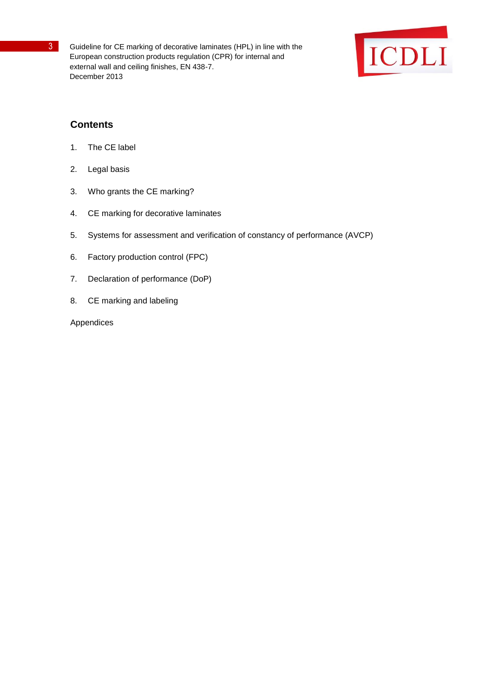

# **Contents**

- 1. The CE label
- 2. Legal basis
- 3. Who grants the CE marking?
- 4. CE marking for decorative laminates
- 5. Systems for assessment and verification of constancy of performance (AVCP)
- 6. Factory production control (FPC)
- 7. Declaration of performance (DoP)
- 8. CE marking and labeling

Appendices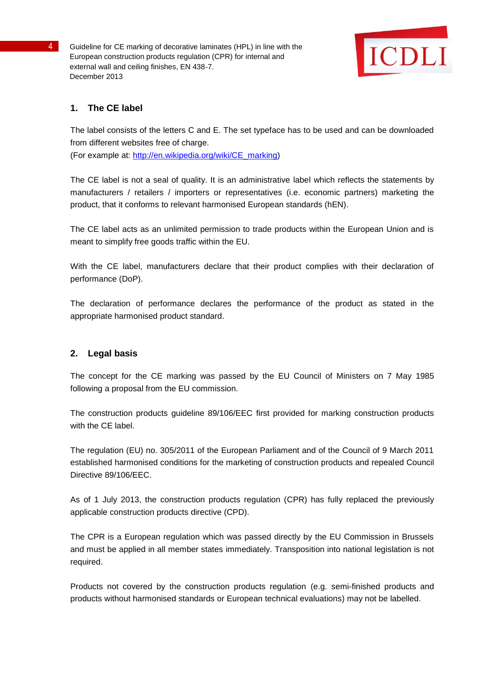

## **1. The CE label**

The label consists of the letters C and E. The set typeface has to be used and can be downloaded from different websites free of charge. (For example at: [http://en.wikipedia.org/wiki/CE\\_marking\)](http://en.wikipedia.org/wiki/CE_marking))

The CE label is not a seal of quality. It is an administrative label which reflects the statements by manufacturers / retailers / importers or representatives (i.e. economic partners) marketing the product, that it conforms to relevant harmonised European standards (hEN).

The CE label acts as an unlimited permission to trade products within the European Union and is meant to simplify free goods traffic within the EU.

With the CE label, manufacturers declare that their product complies with their declaration of performance (DoP).

The declaration of performance declares the performance of the product as stated in the appropriate harmonised product standard.

## **2. Legal basis**

The concept for the CE marking was passed by the EU Council of Ministers on 7 May 1985 following a proposal from the EU commission.

The construction products guideline 89/106/EEC first provided for marking construction products with the CE label.

The regulation (EU) no. 305/2011 of the European Parliament and of the Council of 9 March 2011 established harmonised conditions for the marketing of construction products and repealed Council Directive 89/106/EEC.

As of 1 July 2013, the construction products regulation (CPR) has fully replaced the previously applicable construction products directive (CPD).

The CPR is a European regulation which was passed directly by the EU Commission in Brussels and must be applied in all member states immediately. Transposition into national legislation is not required.

Products not covered by the construction products regulation (e.g. semi-finished products and products without harmonised standards or European technical evaluations) may not be labelled.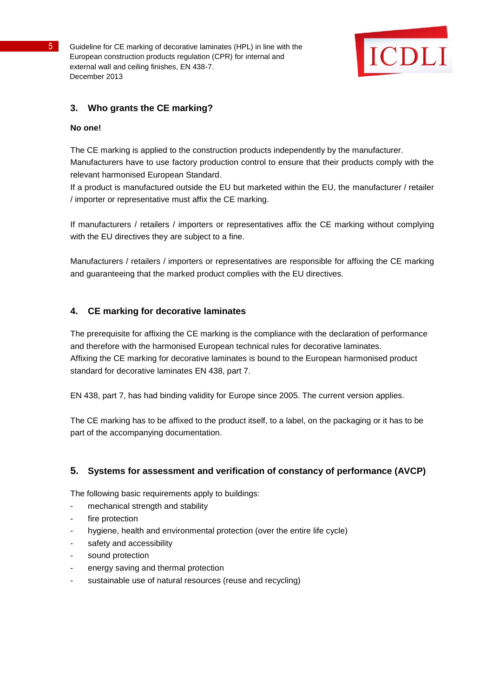

## **3. Who grants the CE marking?**

#### **No one!**

The CE marking is applied to the construction products independently by the manufacturer. Manufacturers have to use factory production control to ensure that their products comply with the relevant harmonised European Standard.

If a product is manufactured outside the EU but marketed within the EU, the manufacturer / retailer / importer or representative must affix the CE marking.

If manufacturers / retailers / importers or representatives affix the CE marking without complying with the EU directives they are subject to a fine.

Manufacturers / retailers / importers or representatives are responsible for affixing the CE marking and guaranteeing that the marked product complies with the EU directives.

## **4. CE marking for decorative laminates**

The prerequisite for affixing the CE marking is the compliance with the declaration of performance and therefore with the harmonised European technical rules for decorative laminates. Affixing the CE marking for decorative laminates is bound to the European harmonised product standard for decorative laminates EN 438, part 7.

EN 438, part 7, has had binding validity for Europe since 2005. The current version applies.

The CE marking has to be affixed to the product itself, to a label, on the packaging or it has to be part of the accompanying documentation.

## **5. Systems for assessment and verification of constancy of performance (AVCP)**

The following basic requirements apply to buildings:

- mechanical strength and stability
- fire protection
- hygiene, health and environmental protection (over the entire life cycle)
- safety and accessibility
- sound protection
- energy saving and thermal protection
- sustainable use of natural resources (reuse and recycling)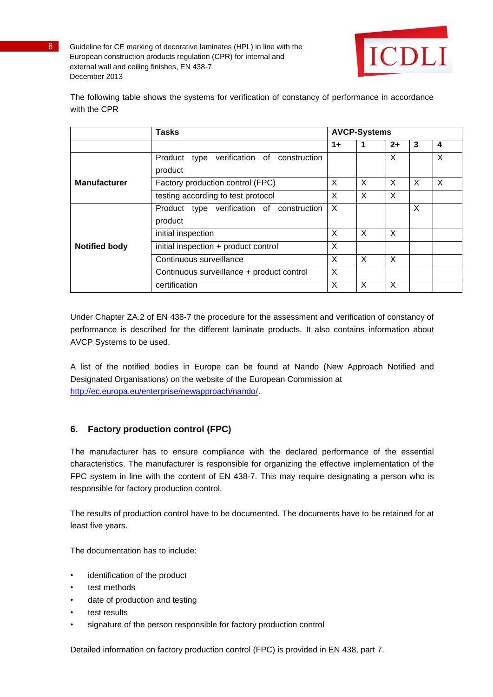

The following table shows the systems for verification of constancy of performance in accordance with the CPR

|                      | <b>Tasks</b>                                |      | <b>AVCP-Systems</b> |          |          |   |
|----------------------|---------------------------------------------|------|---------------------|----------|----------|---|
|                      |                                             | $1+$ |                     | $2+$     | 3        | 4 |
|                      | Product type verification of construction   |      |                     | X        |          | X |
| <b>Manufacturer</b>  | product<br>Factory production control (FPC) | X    | X                   | X        | $\times$ | X |
|                      | testing according to test protocol          | X    | X                   | X        |          |   |
|                      | Product type verification of construction   | X    |                     |          | X        |   |
|                      | product                                     |      |                     |          |          |   |
|                      | initial inspection                          | X    | X                   | X        |          |   |
| <b>Notified body</b> | initial inspection + product control        | X    |                     |          |          |   |
|                      | Continuous surveillance                     | X    | $\times$            | $\times$ |          |   |
|                      | Continuous surveillance + product control   | X    |                     |          |          |   |
|                      | certification                               | X    | X                   | X        |          |   |

Under Chapter ZA.2 of EN 438-7 the procedure for the assessment and verification of constancy of performance is described for the different laminate products. It also contains information about AVCP Systems to be used.

A list of the notified bodies in Europe can be found at Nando (New Approach Notified and Designated Organisations) on the website of the European Commission at [http://ec.europa.eu/enterprise/newapproach/nando/.](http://ec.europa.eu/enterprise/newapproach/nando/)

# **6. Factory production control (FPC)**

The manufacturer has to ensure compliance with the declared performance of the essential characteristics. The manufacturer is responsible for organizing the effective implementation of the FPC system in line with the content of EN 438-7. This may require designating a person who is responsible for factory production control.

The results of production control have to be documented. The documents have to be retained for at least five years.

The documentation has to include:

- identification of the product
- test methods
- date of production and testing
- test results
- signature of the person responsible for factory production control

Detailed information on factory production control (FPC) is provided in EN 438, part 7.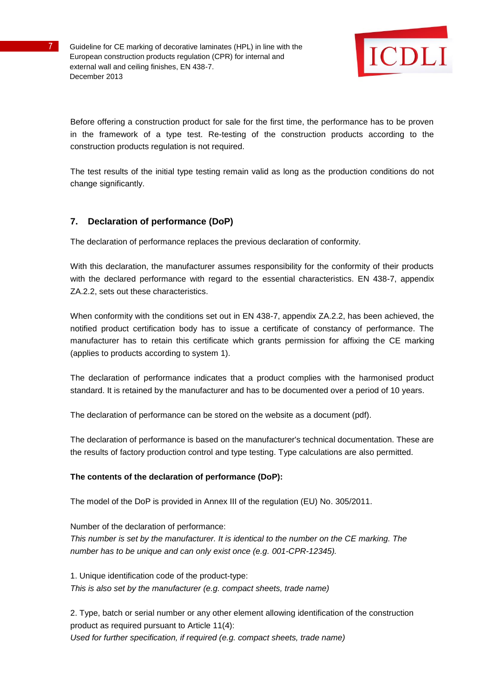

Before offering a construction product for sale for the first time, the performance has to be proven in the framework of a type test. Re-testing of the construction products according to the construction products regulation is not required.

The test results of the initial type testing remain valid as long as the production conditions do not change significantly.

# **7. Declaration of performance (DoP)**

The declaration of performance replaces the previous declaration of conformity.

With this declaration, the manufacturer assumes responsibility for the conformity of their products with the declared performance with regard to the essential characteristics. EN 438-7, appendix ZA.2.2, sets out these characteristics.

When conformity with the conditions set out in EN 438-7, appendix ZA.2.2, has been achieved, the notified product certification body has to issue a certificate of constancy of performance. The manufacturer has to retain this certificate which grants permission for affixing the CE marking (applies to products according to system 1).

The declaration of performance indicates that a product complies with the harmonised product standard. It is retained by the manufacturer and has to be documented over a period of 10 years.

The declaration of performance can be stored on the website as a document (pdf).

The declaration of performance is based on the manufacturer's technical documentation. These are the results of factory production control and type testing. Type calculations are also permitted.

## **The contents of the declaration of performance (DoP):**

The model of the DoP is provided in Annex III of the regulation (EU) No. 305/2011.

Number of the declaration of performance: *This number is set by the manufacturer. It is identical to the number on the CE marking. The number has to be unique and can only exist once (e.g. 001-CPR-12345).*

1. Unique identification code of the product-type: *This is also set by the manufacturer (e.g. compact sheets, trade name)*

2. Type, batch or serial number or any other element allowing identification of the construction product as required pursuant to Article 11(4): *Used for further specification, if required (e.g. compact sheets, trade name)*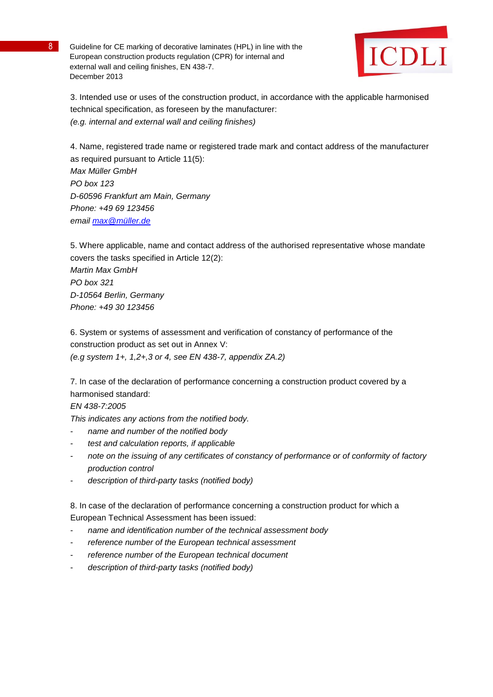

3. Intended use or uses of the construction product, in accordance with the applicable harmonised technical specification, as foreseen by the manufacturer: *(e.g. internal and external wall and ceiling finishes)*

4. Name, registered trade name or registered trade mark and contact address of the manufacturer as required pursuant to Article 11(5): *Max Müller GmbH PO box 123 D-60596 Frankfurt am Main, Germany Phone: +49 69 123456 email [max@müller.de](mailto:max@müller.de)*

5. Where applicable, name and contact address of the authorised representative whose mandate covers the tasks specified in Article 12(2): *Martin Max GmbH PO box 321 D-10564 Berlin, Germany Phone: +49 30 123456*

6. System or systems of assessment and verification of constancy of performance of the construction product as set out in Annex V: *(e.g system 1+, 1,2+,3 or 4, see EN 438-7, appendix ZA.2)*

7. In case of the declaration of performance concerning a construction product covered by a harmonised standard:

## *EN 438-7:2005*

*This indicates any actions from the notified body.*

- *name and number of the notified body*
- *test and calculation reports, if applicable*
- *note on the issuing of any certificates of constancy of performance or of conformity of factory production control*
- *description of third-party tasks (notified body)*

8. In case of the declaration of performance concerning a construction product for which a European Technical Assessment has been issued:

- *name and identification number of the technical assessment body*
- reference number of the European technical assessment
- reference number of the European technical document
- *description of third-party tasks (notified body)*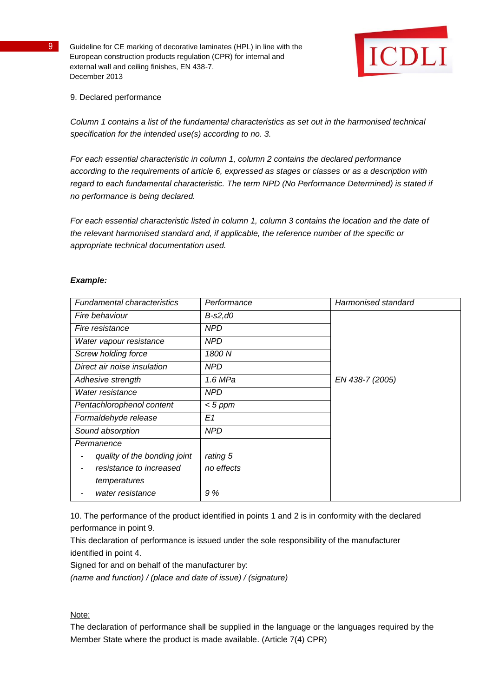

## 9. Declared performance

*Column 1 contains a list of the fundamental characteristics as set out in the harmonised technical specification for the intended use(s) according to no. 3.*

*For each essential characteristic in column 1, column 2 contains the declared performance according to the requirements of article 6, expressed as stages or classes or as a description with regard to each fundamental characteristic. The term NPD (No Performance Determined) is stated if no performance is being declared.*

*For each essential characteristic listed in column 1, column 3 contains the location and the date of the relevant harmonised standard and, if applicable, the reference number of the specific or appropriate technical documentation used.*

#### *Example:*

| <b>Fundamental characteristics</b> | Performance | Harmonised standard |
|------------------------------------|-------------|---------------------|
| Fire behaviour                     | B-s2,d0     |                     |
| Fire resistance                    | <b>NPD</b>  |                     |
| Water vapour resistance            | <b>NPD</b>  |                     |
| <b>Screw holding force</b>         | 1800 N      |                     |
| Direct air noise insulation        | NPD         |                     |
| Adhesive strength                  | 1.6 MPa     | EN 438-7 (2005)     |
| Water resistance                   | <b>NPD</b>  |                     |
| Pentachlorophenol content          | $< 5$ ppm   |                     |
| Formaldehyde release               | E1          |                     |
| Sound absorption                   | <b>NPD</b>  |                     |
| Permanence                         |             |                     |
| quality of the bonding joint       | rating 5    |                     |
| resistance to increased            | no effects  |                     |
| temperatures                       |             |                     |
| water resistance                   | 9 %         |                     |

10. The performance of the product identified in points 1 and 2 is in conformity with the declared performance in point 9.

This declaration of performance is issued under the sole responsibility of the manufacturer identified in point 4.

Signed for and on behalf of the manufacturer by:

*(name and function) / (place and date of issue) / (signature)*

## Note:

The declaration of performance shall be supplied in the language or the languages required by the Member State where the product is made available. (Article 7(4) CPR)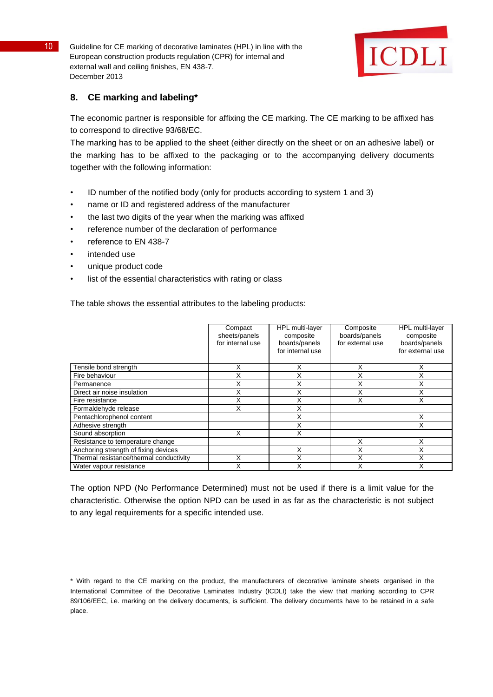

## **8. CE marking and labeling\***

The economic partner is responsible for affixing the CE marking. The CE marking to be affixed has to correspond to directive 93/68/EC.

The marking has to be applied to the sheet (either directly on the sheet or on an adhesive label) or the marking has to be affixed to the packaging or to the accompanying delivery documents together with the following information:

- ID number of the notified body (only for products according to system 1 and 3)
- name or ID and registered address of the manufacturer
- the last two digits of the year when the marking was affixed
- reference number of the declaration of performance
- reference to EN 438-7
- intended use
- unique product code
- list of the essential characteristics with rating or class

The table shows the essential attributes to the labeling products:

|                                         | Compact<br>sheets/panels<br>for internal use | HPL multi-layer<br>composite<br>boards/panels<br>for internal use | Composite<br>boards/panels<br>for external use | HPL multi-layer<br>composite<br>boards/panels<br>for external use |
|-----------------------------------------|----------------------------------------------|-------------------------------------------------------------------|------------------------------------------------|-------------------------------------------------------------------|
| Tensile bond strength                   | Χ                                            | Χ                                                                 | Χ                                              | X                                                                 |
| Fire behaviour                          |                                              | Χ                                                                 | Х                                              | X                                                                 |
| Permanence                              | X                                            | Χ                                                                 | X                                              | X                                                                 |
| Direct air noise insulation             | Χ                                            | Χ                                                                 | Χ                                              | X                                                                 |
| Fire resistance                         | Χ                                            | X                                                                 | X                                              | X                                                                 |
| Formaldehyde release                    | x                                            | Χ                                                                 |                                                |                                                                   |
| Pentachlorophenol content               |                                              | Χ                                                                 |                                                | X                                                                 |
| Adhesive strength                       |                                              | X                                                                 |                                                | X                                                                 |
| Sound absorption                        | x                                            | X                                                                 |                                                |                                                                   |
| Resistance to temperature change        |                                              |                                                                   | Χ                                              | X                                                                 |
| Anchoring strength of fixing devices    |                                              | X                                                                 | Χ                                              | X                                                                 |
| Thermal resistance/thermal conductivity | Χ                                            | X                                                                 | X                                              | X                                                                 |
| Water vapour resistance                 |                                              | χ                                                                 | X                                              | Χ                                                                 |

The option NPD (No Performance Determined) must not be used if there is a limit value for the characteristic. Otherwise the option NPD can be used in as far as the characteristic is not subject to any legal requirements for a specific intended use.

<sup>\*</sup> With regard to the CE marking on the product, the manufacturers of decorative laminate sheets organised in the International Committee of the Decorative Laminates Industry (ICDLI) take the view that marking according to CPR 89/106/EEC, i.e. marking on the delivery documents, is sufficient. The delivery documents have to be retained in a safe place.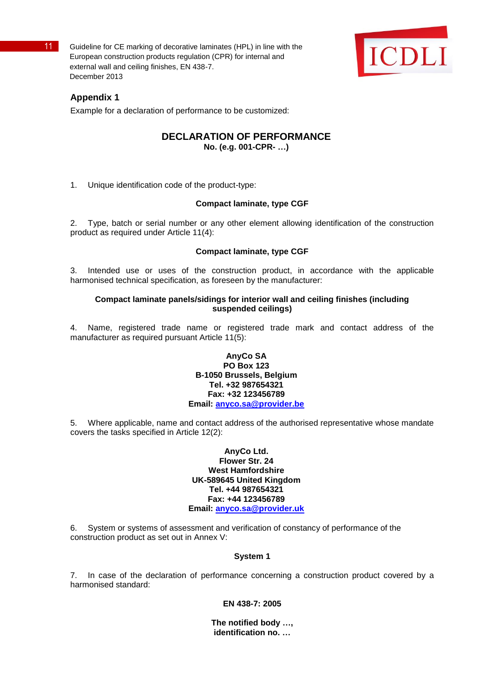

## **Appendix 1**

Example for a declaration of performance to be customized:

## **DECLARATION OF PERFORMANCE No. (e.g. 001-CPR- …)**

1. Unique identification code of the product-type:

## **Compact laminate, type CGF**

2. Type, batch or serial number or any other element allowing identification of the construction product as required under Article 11(4):

## **Compact laminate, type CGF**

3. Intended use or uses of the construction product, in accordance with the applicable harmonised technical specification, as foreseen by the manufacturer:

#### **Compact laminate panels/sidings for interior wall and ceiling finishes (including suspended ceilings)**

4. Name, registered trade name or registered trade mark and contact address of the manufacturer as required pursuant Article 11(5):

#### **AnyCo SA PO Box 123 B-1050 Brussels, Belgium Tel. +32 987654321 Fax: +32 123456789 Email: [anyco.sa@provider.be](mailto:anyco.sa@provider.be)**

5. Where applicable, name and contact address of the authorised representative whose mandate covers the tasks specified in Article 12(2):

> **AnyCo Ltd. Flower Str. 24 West Hamfordshire UK-589645 United Kingdom Tel. +44 987654321 Fax: +44 123456789 Email: [anyco.sa@provider.uk](mailto:anyco.sa@provider.uk)**

6. System or systems of assessment and verification of constancy of performance of the construction product as set out in Annex V:

#### **System 1**

7. In case of the declaration of performance concerning a construction product covered by a harmonised standard:

#### **EN 438-7: 2005**

**The notified body …, identification no. …**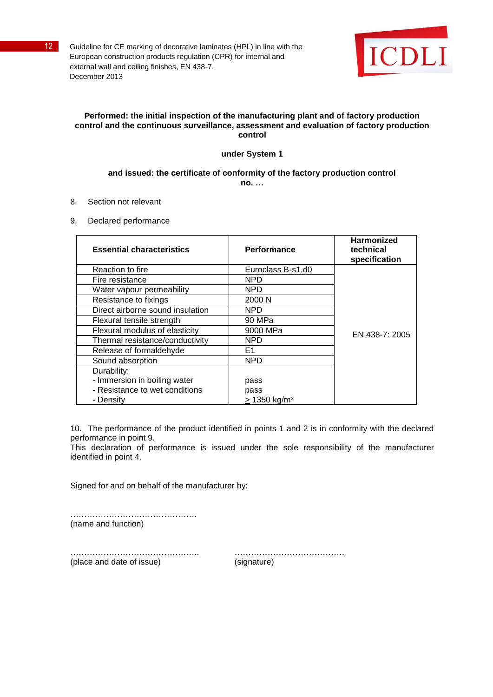

## **Performed: the initial inspection of the manufacturing plant and of factory production control and the continuous surveillance, assessment and evaluation of factory production control**

## **under System 1**

#### **and issued: the certificate of conformity of the factory production control no. …**

8. Section not relevant

9. Declared performance

| <b>Essential characteristics</b> | Performance                | <b>Harmonized</b><br>technical<br>specification |
|----------------------------------|----------------------------|-------------------------------------------------|
| Reaction to fire                 | Euroclass B-s1,d0          |                                                 |
| Fire resistance                  | NPD                        |                                                 |
| Water vapour permeability        | <b>NPD</b>                 |                                                 |
| Resistance to fixings            | 2000 N                     |                                                 |
| Direct airborne sound insulation | <b>NPD</b>                 |                                                 |
| Flexural tensile strength        | 90 MPa                     |                                                 |
| Flexural modulus of elasticity   | 9000 MPa                   | EN 438-7: 2005                                  |
| Thermal resistance/conductivity  | <b>NPD</b>                 |                                                 |
| Release of formaldehyde          | E1                         |                                                 |
| Sound absorption                 | <b>NPD</b>                 |                                                 |
| Durability:                      |                            |                                                 |
| - Immersion in boiling water     | pass                       |                                                 |
| - Resistance to wet conditions   | pass                       |                                                 |
| - Density                        | $> 1350$ kg/m <sup>3</sup> |                                                 |

10. The performance of the product identified in points 1 and 2 is in conformity with the declared performance in point 9.

This declaration of performance is issued under the sole responsibility of the manufacturer identified in point 4.

Signed for and on behalf of the manufacturer by:

…………………………………………… (name and function)

(place and date of issue) (signature)

……………………………………….. ………………………………….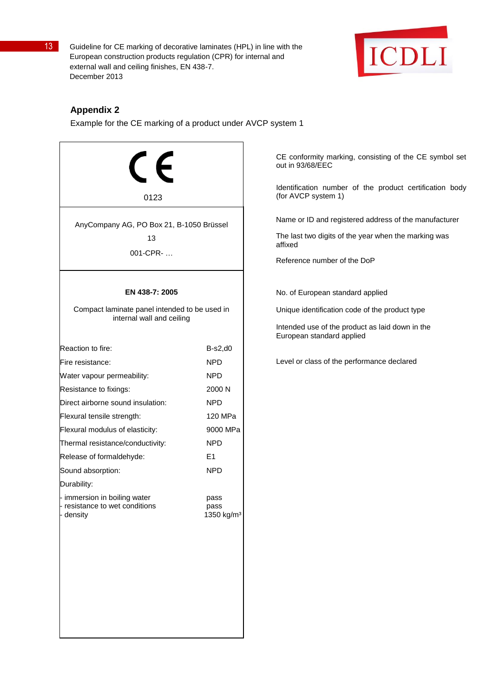

## **Appendix 2**

Example for the CE marking of a product under AVCP system 1

| 0123                                                                       |                                        |  |  |
|----------------------------------------------------------------------------|----------------------------------------|--|--|
| AnyCompany AG, PO Box 21, B-1050 Brüssel<br>13<br>001-CPR-                 |                                        |  |  |
| EN 438-7: 2005                                                             |                                        |  |  |
| Compact laminate panel intended to be used in<br>internal wall and ceiling |                                        |  |  |
| Reaction to fire:                                                          | $B-s2,d0$                              |  |  |
| Fire resistance:                                                           | NPD.                                   |  |  |
| Water vapour permeability:                                                 | NPD                                    |  |  |
| Resistance to fixings:                                                     | 2000 N                                 |  |  |
| Direct airborne sound insulation:                                          | <b>NPD</b>                             |  |  |
| Flexural tensile strength:                                                 | 120 MPa                                |  |  |
| Flexural modulus of elasticity:                                            | 9000 MPa                               |  |  |
| Thermal resistance/conductivity:                                           | <b>NPD</b>                             |  |  |
| Release of formaldehyde:                                                   | E <sub>1</sub>                         |  |  |
| Sound absorption:                                                          | NPD.                                   |  |  |
| Durability:                                                                |                                        |  |  |
| - immersion in boiling water<br>- resistance to wet conditions<br>density  | pass<br>pass<br>1350 kg/m <sup>3</sup> |  |  |
|                                                                            |                                        |  |  |
|                                                                            |                                        |  |  |
|                                                                            |                                        |  |  |

CE conformity marking, consisting of the CE symbol set out in 93/68/EEC

Identification number of the product certification body (for AVCP system 1)

Name or ID and registered address of the manufacturer

The last two digits of the year when the marking was affixed

Reference number of the DoP

No. of European standard applied

Unique identification code of the product type

Intended use of the product as laid down in the European standard applied

Level or class of the performance declared